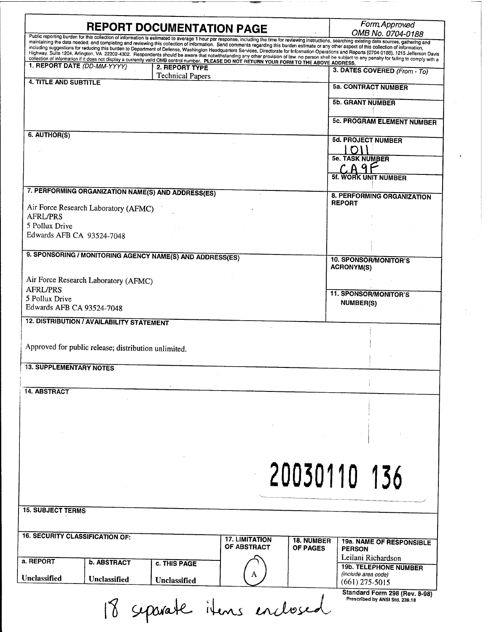|                                                           |                                                                                                                                                                                               | Form Approved                                                                                                                                                                                                              |
|-----------------------------------------------------------|-----------------------------------------------------------------------------------------------------------------------------------------------------------------------------------------------|----------------------------------------------------------------------------------------------------------------------------------------------------------------------------------------------------------------------------|
|                                                           | <b>REPORT DOCUMENTATION PAGE</b>                                                                                                                                                              | OMB No. 0704-0188<br>Public reporting burden for this collection of information is estimated to average 1 hour per response, including the time for reviewing instructions, searching existing data sources, gathering and |
|                                                           | maintaining the data needed, and completing and reviewing this collection of information. Send comments regarding this burden estimate or any other aspect of this collection of information, | including suggestions for reducing this burden to Department of Defense, Washington Headquarters Services, Directorate for Information Operations and Reports (0704-0188), 1215 Jefferson Davis                            |
|                                                           | collection of information if it does not display a currently valid OMB control number. PLEASE DO NOT RETURN YOUR FORM TO THE ABOVE ADDRESS.                                                   | Highway, Suite 1204, Arlington, VA 22202-4302. Respondents should be aware that notwithstanding any other provision of law, no person shall be subject to any penalty for failing to comply with a                         |
| 1. REPORT DATE (DD-MM-YYYY)                               | 2. REPORT TYPE                                                                                                                                                                                | 3. DATES COVERED (From - To)                                                                                                                                                                                               |
| <b>4. TITLE AND SUBTITLE</b>                              | <b>Technical Papers</b>                                                                                                                                                                       |                                                                                                                                                                                                                            |
|                                                           |                                                                                                                                                                                               | <b>5a. CONTRACT NUMBER</b>                                                                                                                                                                                                 |
|                                                           |                                                                                                                                                                                               | <b>5b. GRANT NUMBER</b>                                                                                                                                                                                                    |
|                                                           |                                                                                                                                                                                               |                                                                                                                                                                                                                            |
|                                                           |                                                                                                                                                                                               | <b>5c. PROGRAM ELEMENT NUMBER</b>                                                                                                                                                                                          |
| 6. AUTHOR(S)                                              |                                                                                                                                                                                               |                                                                                                                                                                                                                            |
|                                                           |                                                                                                                                                                                               | <b>5d. PROJECT NUMBER</b>                                                                                                                                                                                                  |
|                                                           |                                                                                                                                                                                               | <b>5e. TASK NUMBER</b>                                                                                                                                                                                                     |
|                                                           |                                                                                                                                                                                               |                                                                                                                                                                                                                            |
|                                                           |                                                                                                                                                                                               | <b>5f. WORK UNIT NUMBER</b>                                                                                                                                                                                                |
| 7. PERFORMING ORGANIZATION NAME(S) AND ADDRESS(ES)        |                                                                                                                                                                                               |                                                                                                                                                                                                                            |
|                                                           |                                                                                                                                                                                               | 8. PERFORMING ORGANIZATION<br><b>REPORT</b>                                                                                                                                                                                |
| Air Force Research Laboratory (AFMC)<br><b>AFRL/PRS</b>   |                                                                                                                                                                                               |                                                                                                                                                                                                                            |
| 5 Pollux Drive                                            |                                                                                                                                                                                               |                                                                                                                                                                                                                            |
| Edwards AFB CA 93524-7048                                 |                                                                                                                                                                                               |                                                                                                                                                                                                                            |
|                                                           |                                                                                                                                                                                               |                                                                                                                                                                                                                            |
| 9. SPONSORING / MONITORING AGENCY NAME(S) AND ADDRESS(ES) |                                                                                                                                                                                               | <b>10. SPONSOR/MONITOR'S</b>                                                                                                                                                                                               |
|                                                           |                                                                                                                                                                                               | <b>ACRONYM(S)</b>                                                                                                                                                                                                          |
| Air Force Research Laboratory (AFMC)                      |                                                                                                                                                                                               |                                                                                                                                                                                                                            |
| <b>AFRL/PRS</b>                                           |                                                                                                                                                                                               | <b>11. SPONSOR/MONITOR'S</b>                                                                                                                                                                                               |
| 5 Pollux Drive<br>Edwards AFB CA 93524-7048               |                                                                                                                                                                                               | <b>NUMBER(S)</b>                                                                                                                                                                                                           |
|                                                           |                                                                                                                                                                                               |                                                                                                                                                                                                                            |
| <b>12. DISTRIBUTION / AVAILABILITY STATEMENT</b>          |                                                                                                                                                                                               |                                                                                                                                                                                                                            |
|                                                           |                                                                                                                                                                                               |                                                                                                                                                                                                                            |
| Approved for public release; distribution unlimited.      |                                                                                                                                                                                               |                                                                                                                                                                                                                            |
|                                                           |                                                                                                                                                                                               |                                                                                                                                                                                                                            |
| <b>13. SUPPLEMENTARY NOTES</b>                            |                                                                                                                                                                                               |                                                                                                                                                                                                                            |
|                                                           |                                                                                                                                                                                               |                                                                                                                                                                                                                            |
| <b>14. ABSTRACT</b>                                       |                                                                                                                                                                                               |                                                                                                                                                                                                                            |
|                                                           |                                                                                                                                                                                               |                                                                                                                                                                                                                            |
|                                                           |                                                                                                                                                                                               |                                                                                                                                                                                                                            |
|                                                           |                                                                                                                                                                                               |                                                                                                                                                                                                                            |
|                                                           |                                                                                                                                                                                               |                                                                                                                                                                                                                            |
|                                                           |                                                                                                                                                                                               |                                                                                                                                                                                                                            |
|                                                           |                                                                                                                                                                                               |                                                                                                                                                                                                                            |
|                                                           |                                                                                                                                                                                               | 20030110 136                                                                                                                                                                                                               |
|                                                           |                                                                                                                                                                                               |                                                                                                                                                                                                                            |
|                                                           |                                                                                                                                                                                               |                                                                                                                                                                                                                            |
| <b>15. SUBJECT TERMS</b>                                  |                                                                                                                                                                                               |                                                                                                                                                                                                                            |
|                                                           |                                                                                                                                                                                               |                                                                                                                                                                                                                            |
|                                                           |                                                                                                                                                                                               |                                                                                                                                                                                                                            |
| <b>16. SECURITY CLASSIFICATION OF:</b>                    | <b>17. LIMITATION</b>                                                                                                                                                                         | <b>18. NUMBER</b><br>19a. NAME OF RESPONSIBLE                                                                                                                                                                              |
|                                                           | OF ABSTRACT                                                                                                                                                                                   | OF PAGES<br><b>PERSON</b>                                                                                                                                                                                                  |
| a. REPORT<br><b>b. ABSTRACT</b>                           | c. THIS PAGE                                                                                                                                                                                  | Leilani Richardson<br><b>19b. TELEPHONE NUMBER</b>                                                                                                                                                                         |
| Unclassified                                              |                                                                                                                                                                                               | (include area code)                                                                                                                                                                                                        |
| Unclassified                                              | Unclassified                                                                                                                                                                                  | $(661)$ 275-5015                                                                                                                                                                                                           |
|                                                           |                                                                                                                                                                                               | Standard Form 298 (Rev. 8-98)<br>Prescribed by ANSI Std. 239.18                                                                                                                                                            |
|                                                           | 18 separate items enclosed                                                                                                                                                                    |                                                                                                                                                                                                                            |
|                                                           |                                                                                                                                                                                               |                                                                                                                                                                                                                            |

 $\epsilon$ 

 $\frac{1}{2} \frac{1}{2}$  .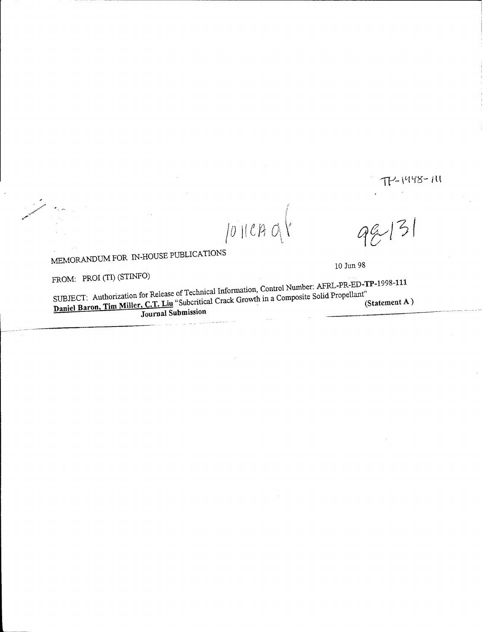# $T$ -1448-111

**MEMORANDUM FOR IN-HOUSE PUBLICATIONS** 10 Jun 98

 $\left| \frac{2}{2} \right|$ 

FROM: PROI (TI) (STINFO)<br>SUBJECT: Authorization for Release of Technical Information, Control Number: AFRL-PR-ED-TP-1998-111 Daniel Baron, Tim Miller, C.T. Liu "Subcritical Crack Growth in a Composite Solid Propellant"<br>Journal Submission (Statement A)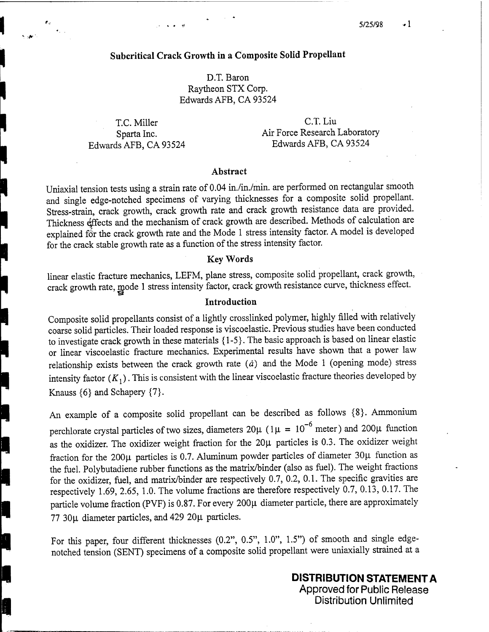## **Subcritical Crack Growth in a Composite Solid Propellant**

D.T. Baron Raytheon STX Corp. Edwards AFB, CA 93524

Edwards AFB, CA 93524 Edwards AFB, CA 93524

ŀ

T.C. Miller C.T. Liu Sparta Inc. **Air Force Research Laboratory** 

#### **Abstract**

Uniaxial tension tests using a strain rate of 0.04 in./in./min. are performed on rectangular smooth and single edge-notched specimens of varying thicknesses for a composite solid propellant. Stress-strain, crack growth, crack growth rate and crack growth resistance data are provided. Thickness effects and the mechanism of crack growth are described. Methods of calculation are explained for the crack growth rate and the Mode 1 stress intensity factor. A model is developed for the crack stable growth rate as a function of the stress intensity factor.

## Key **Words**

linear elastic fracture mechanics, LEFM, plane stress, composite solid propellant, crack growth, crack growth rate, mode <sup>1</sup> stress intensity factor, crack growth resistance curve, thickness effect.

#### **Introduction**

Composite solid propellants consist of a lightly crosslinked polymer, highly filled with relatively coarse solid particles. Their loaded response is viscoelastic. Previous studies have been conducted to investigate crack growth in these materials {1-5}. The basic approach is based on linear elastic or linear viscoelastic fracture mechanics. Experimental results have shown that a power law relationship exists between the crack growth rate  $(\dot{a})$  and the Mode 1 (opening mode) stress intensity factor  $(K_1)$ . This is consistent with the linear viscoelastic fracture theories developed by Knauss  $\{6\}$  and Schapery  $\{7\}$ .

An example of a composite solid propellant can be described as follows {8}. Ammonium perchlorate crystal particles of two sizes, diameters  $20\mu$  ( $1\mu = 10^{-6}$  meter) and  $200\mu$  function as the oxidizer. The oxidizer weight fraction for the  $20\mu$  particles is 0.3. The oxidizer weight fraction for the 200 $\mu$  particles is 0.7. Aluminum powder particles of diameter 30 $\mu$  function as the fuel. Polybutadiene rubber functions as the matrix/binder (also as fuel). The weight fractions for the oxidizer, fuel, and matrix/binder are respectively 0.7, 0.2, 0.1. The specific gravities are respectively 1.69, 2.65, 1.0. The volume fractions are therefore respectively 0.7, 0.13, 0.17. The particle volume fraction (PVF) is 0.87. For every 200µ diameter particle, there are approximately 77 30µ diameter particles, and 429 20µ particles.

For this paper, four different thicknesses (0.2", 0.5", 1.0", 1.5") of smooth and single edgenotched tension (SENT) specimens of a composite solid propellant were uniaxially strained at a

> **DISTRIBUTION STATEMENT A** Approved for Public Release Distribution Unlimited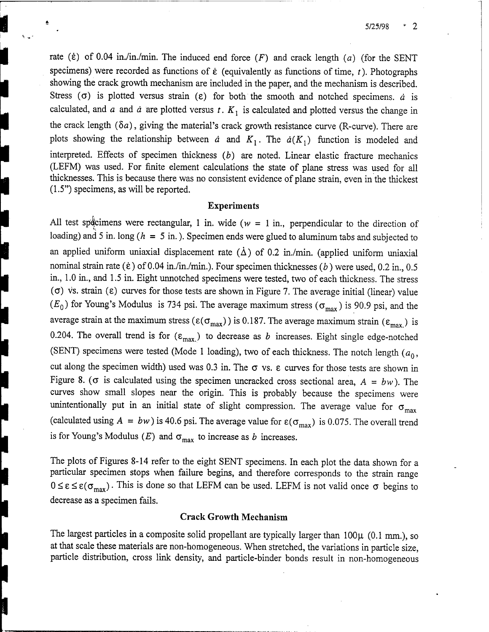5/25/98  $\sim$  2

rate ( $\dot{\epsilon}$ ) of 0.04 in./in./min. The induced end force ( $F$ ) and crack length (a) (for the SENT specimens) were recorded as functions of  $\dot{\epsilon}$  (equivalently as functions of time,  $t$ ). Photographs showing the crack growth mechanism are included in the paper, and the mechanism is described. Stress ( $\sigma$ ) is plotted versus strain ( $\varepsilon$ ) for both the smooth and notched specimens, *a* is calculated, and *a* and *<sup>ä</sup>* are plotted versus *t. Kl* is calculated and plotted versus the change in the crack length  $(\delta a)$ , giving the material's crack growth resistance curve (R-curve). There are plots showing the relationship between *a* and  $K_1$ . The  $a(K_1)$  function is modeled and interpreted. Effects of specimen thickness *(b)* are noted. Linear elastic fracture mechanics (LEFM) was used. For finite element calculations the state of plane stress was used for all thicknesses. This is because there was no consistent evidence of plane strain, even in the thickest (1.5") specimens, as will be reported.

#### **Experiments**

All test specimens were rectangular, 1 in. wide ( $w = 1$  in., perpendicular to the direction of loading) and 5 in. long *{h* = 5 in.). Specimen ends were glued to aluminum tabs and subjected to an applied uniform uniaxial displacement rate ( $\dot{\Delta}$ ) of 0.2 in./min. (applied uniform uniaxial nominal strain rate ( $\dot{\epsilon}$ ) of 0.04 in./in./min.). Four specimen thicknesses (b) were used, 0.2 in., 0.5 in., 1.0 in., and 1.5 in. Eight unnotched specimens were tested, two of each thickness. The stress ( $\sigma$ ) vs. strain ( $\epsilon$ ) curves for those tests are shown in Figure 7. The average initial (linear) value  $(E_0)$  for Young's Modulus is 734 psi. The average maximum stress ( $\sigma_{\text{max}}$ ) is 90.9 psi, and the average strain at the maximum stress ( $\varepsilon(\sigma_{max})$ ) is 0.187. The average maximum strain ( $\varepsilon_{max}$ ) is 0.204. The overall trend is for  $(\varepsilon_{\text{max}})$  to decrease as *b* increases. Eight single edge-notched (SENT) specimens were tested (Mode 1 loading), two of each thickness. The notch length  $(a_0, a_1)$ cut along the specimen width) used was  $0.3$  in. The  $\sigma$  vs.  $\varepsilon$  curves for those tests are shown in Figure 8. ( $\sigma$  is calculated using the specimen uncracked cross sectional area,  $A = bw$ ). The curves show small slopes near the origin. This is probably because the specimens were unintentionally put in an initial state of slight compression. The average value for  $\sigma_{\text{max}}$ (calculated using  $A = bw$ ) is 40.6 psi. The average value for  $\varepsilon(\sigma_{\text{max}})$  is 0.075. The overall trend is for Young's Modulus  $(E)$  and  $\sigma_{\text{max}}$  to increase as *b* increases.

The plots of Figures 8-14 refer to the eight SENT specimens. In each plot the data shown for a particular specimen stops when failure begins, and therefore corresponds to the strain range  $0 \leq \varepsilon \leq \varepsilon(\sigma_{\text{max}})$ . This is done so that LEFM can be used. LEFM is not valid once  $\sigma$  begins to decrease as a specimen fails.

#### **Crack Growth Mechanism**

The largest particles in a composite solid propellant are typically larger than  $100\mu$  (0.1 mm.), so at that scale these materials are non-homogeneous. When stretched, the variations in particle size, particle distribution, cross link density, and particle-binder bonds result in non-homogeneous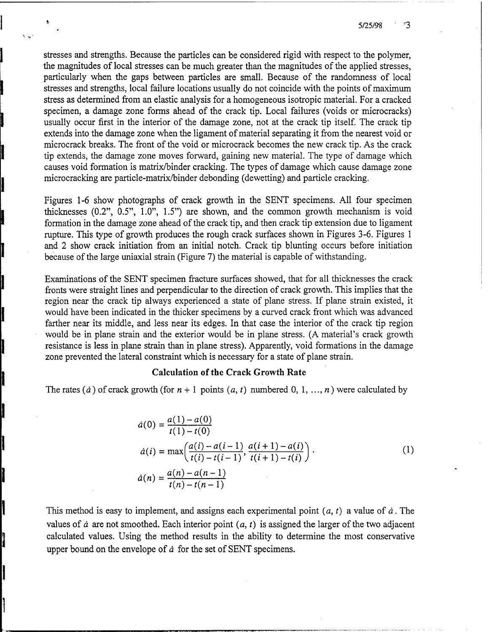5/25/98 ్ర

stresses and strengths. Because the particles can be considered rigid with respect to the polymer, the magnitudes of local stresses can be much greater than the magnitudes of the applied stresses, particularly when the gaps between particles are small. Because of the randomness of local stresses and strengths, local failure locations usually do not coincide with the points of maximum stress as determined from an elastic analysis for a homogeneous isotropic material. For a cracked specimen, a damage zone forms ahead of the crack tip. Local failures (voids or microcracks) usually occur first in the interior of the damage zone, not at the crack tip itself. The crack tip extends into the damage zone when the ligament of material separating it from the nearest void or microcrack breaks. The front of the void or microcrack becomes the new crack tip. As the crack tip extends, the damage zone moves forward, gaining new material. The type of damage which causes void formation is matrix/binder cracking. The types of damage which cause damage zone microcracking are particle-matrix/binder debonding (dewetting) and particle cracking.

Figures 1-6 show photographs of crack growth in the SENT specimens. All four specimen thicknesses (0.2", 0.5", 1.0", 1.5") are shown, and the common growth mechanism is void formation in the damage zone ahead of the crack tip, and then crack tip extension due to ligament rupture. This type of growth produces the rough crack surfaces shown in Figures 3-6. Figures <sup>1</sup> and 2 show crack initiation from an initial notch. Crack tip blunting occurs before initiation because of the large uniaxial strain (Figure 7) the material is capable of withstanding.

Examinations of the SENT specimen fracture surfaces showed, that for all thicknesses the crack fronts were straight lines and perpendicular to the direction of crack growth. This implies that the region near the crack tip always experienced a state of plane stress. If plane strain existed, it would have been indicated in the thicker specimens by a curved crack front which was advanced farther near its middle, and less near its edges. In that case the interior of the crack tip region would be in plane strain and the exterior would be in plane stress. (A material's crack growth resistance is less in plane strain than in plane stress). Apparently, void formations in the damage zone prevented the lateral constraint which is necessary for a state of plane strain.

#### **Calculation of the Crack Growth Rate**

The rates  $(\dot{a})$  of crack growth (for  $n+1$  points  $(a, t)$  numbered 0, 1, ...,  $n)$  were calculated by

$$
\dot{a}(0) = \frac{a(1) - a(0)}{t(1) - t(0)}
$$
\n
$$
\dot{a}(i) = \max\left(\frac{a(i) - a(i-1)}{t(i) - t(i-1)}, \frac{a(i+1) - a(i)}{t(i+1) - t(i)}\right).
$$
\n
$$
\dot{a}(n) = \frac{a(n) - a(n-1)}{t(n) - t(n-1)}
$$
\n(1)

This method is easy to implement, and assigns each experimental point *(a, t)* <sup>a</sup> value of *ä.* The values of  $\dot{a}$  are not smoothed. Each interior point  $(a, t)$  is assigned the larger of the two adjacent calculated values. Using the method results in the ability to determine the most conservative upper bound on the envelope of *ä* for the set of SENT specimens.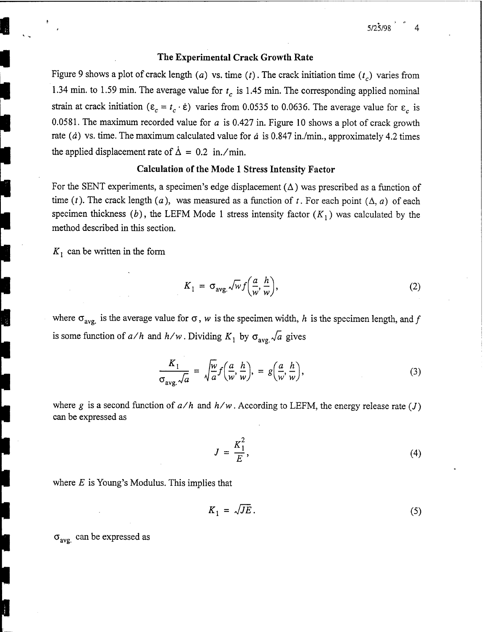#### **The Experimental Crack Growth Rate**

Figure 9 shows a plot of crack length *(a)* vs. time *(t)*. The crack initiation time  $(t_c)$  varies from 1.34 min. to 1.59 min. The average value for *tc* is 1.45 min. The corresponding applied nominal strain at crack initiation ( $\varepsilon_c = t_c \cdot \dot{\varepsilon}$ ) varies from 0.0535 to 0.0636. The average value for  $\varepsilon_c$  is 0.0581. The maximum recorded value for *a* is 0.427 in. Figure 10 shows a plot of crack growth rate *(ä)* vs. time. The maximum calculated value for *ä* is 0.847 in./min., approximately 4.2 times the applied displacement rate of  $\dot{\Delta} = 0.2$  in./min.

### **Calculation of the Mode <sup>1</sup> Stress Intensity Factor**

For the SENT experiments, a specimen's edge displacement  $(\Delta)$  was prescribed as a function of time (t). The crack length (a), was measured as a function of t. For each point  $(\Delta, a)$  of each specimen thickness (b), the LEFM Mode 1 stress intensity factor  $(K_1)$  was calculated by the method described in this section.

 $K_1$  can be written in the form

$$
K_1 = \sigma_{\text{avg.}} \sqrt{w} f\left(\frac{a}{w}, \frac{h}{w}\right),\tag{2}
$$

where  $\sigma_{avg}$  is the average value for  $\sigma$ , *w* is the specimen width, *h* is the specimen length, and *f* is some function of  $a/h$  and  $h/w$ . Dividing  $K_1$  by  $\sigma_{avg} \sqrt{a}$  gives

$$
\frac{K_1}{\sigma_{avg.}\sqrt{a}} = \sqrt{\frac{w}{a}} f\left(\frac{a}{w}, \frac{h}{w}\right), = g\left(\frac{a}{w}, \frac{h}{w}\right),\tag{3}
$$

where g is a second function of  $a/h$  and  $h/w$ . According to LEFM, the energy release rate (*J*) can be expressed as

$$
J = \frac{K_1^2}{E},\tag{4}
$$

where *E* is Young's Modulus. This implies that

$$
K_1 = \sqrt{JE} \,. \tag{5}
$$

 $\sigma_{\text{avg}}$  can be expressed as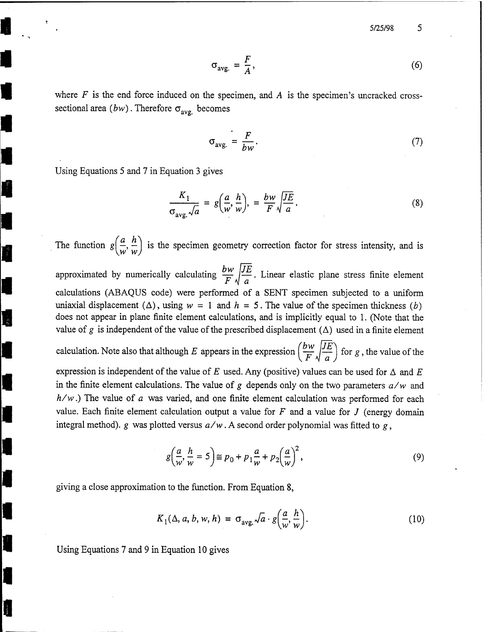5/25/98

$$
\sigma_{\text{avg.}} = \frac{F}{A},\tag{6}
$$

where *F* is the end force induced on the specimen, and *A* is the specimen's uncracked crosssectional area  $(bw)$ . Therefore  $\sigma_{\text{avg}}$  becomes

$$
\sigma_{\text{avg.}} = \frac{F}{bw}.
$$
\n(7)

Using Equations 5 and 7 in Equation 3 gives

I.

$$
\frac{K_1}{\sigma_{avg.}\sqrt{a}} = g\left(\frac{a}{w}, \frac{h}{w}\right), = \frac{bw}{F}\sqrt{\frac{JE}{a}}.
$$
\n(8)

The function  $g\left(\frac{a}{w}, \frac{h}{w}\right)$  is the specimen geometry correction factor for stress intensity, and is approximated by numerically calculating  $\frac{bw}{F} \sqrt{\frac{JE}{a}}$ . Linear elastic plane stress finite element calculations (ABAQUS code) were performed of a SENT specimen subjected to a uniform uniaxial displacement  $(\Delta)$ , using  $w = 1$  and  $h = 5$ . The value of the specimen thickness *(b)* does not appear in plane finite element calculations, and is implicitly equal to 1. (Note that the value of *g* is independent of the value of the prescribed displacement  $(\Delta)$  used in a finite element calculation. Note also that although *E* appears in the expression  $\left(\frac{bw}{F}\sqrt{\frac{JE}{a}}\right)$  for *g*, the value of the expression is independent of the value of *E* used. Any (positive) values can be used for  $\Delta$  and *E* 

in the finite element calculations. The value of *g* depends only on the two parameters *a/w* and *h/w*.) The value of *<sup>a</sup>* was varied, and one finite element calculation was performed for each value. Each finite element calculation output a value for *F* and a value for *J* (energy domain integral method), *g* was plotted versus  $a/w$ . A second order polynomial was fitted to *g*,

$$
g\left(\frac{a}{w},\frac{h}{w}=5\right) \cong p_0 + p_1 \frac{a}{w} + p_2 \left(\frac{a}{w}\right)^2,\tag{9}
$$

giving a close approximation to the function. From Equation 8,

$$
K_1(\Delta, a, b, w, h) = \sigma_{avg.} \sqrt{a} \cdot g\left(\frac{a}{w}, \frac{h}{w}\right).
$$
 (10)

Using Equations 7 and 9 in Equation 10 gives

5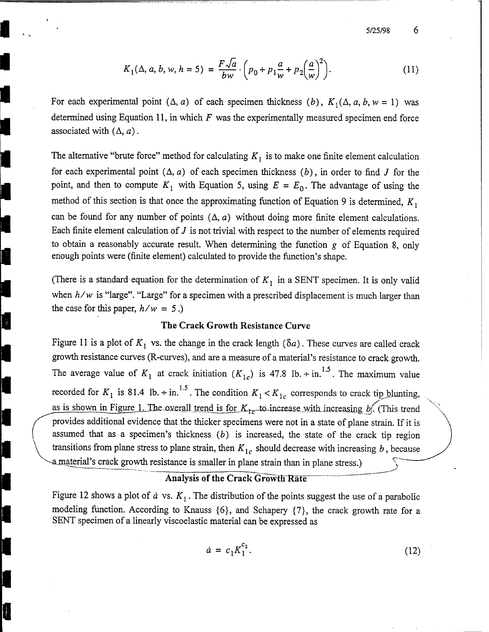5/25/98

$$
K_1(\Delta, a, b, w, h = 5) = \frac{F\sqrt{a}}{bw} \cdot \left(p_0 + p_1 \frac{a}{w} + p_2 \left(\frac{a}{w}\right)^2\right).
$$
 (11)

For each experimental point  $(\Delta, a)$  of each specimen thickness  $(b)$ ,  $K_1(\Delta, a, b, w = 1)$  was determined using Equation 11, in which *F* was the experimentally measured specimen end force associated with  $(\Delta, a)$ .

The alternative "brute force" method for calculating  $K_1$  is to make one finite element calculation for each experimental point  $(\Delta, a)$  of each specimen thickness  $(b)$ , in order to find *J* for the point, and then to compute  $K_1$  with Equation 5, using  $E = E_0$ . The advantage of using the method of this section is that once the approximating function of Equation <sup>9</sup> is determined, *Kl* can be found for any number of points  $(\Delta, a)$  without doing more finite element calculations. Each finite element calculation of *J* is not trivial with respect to the number of elements required to obtain a reasonably accurate result. When determining the function *g* of Equation 8, only enough points were (finite element) calculated to provide the function's shape.

(There is a standard equation for the determination of  $K<sub>1</sub>$  in a SENT specimen. It is only valid when  $h/w$  is "large". "Large" for a specimen with a prescribed displacement is much larger than the case for this paper,  $h/w = 5$ .)

## **The Crack Growth Resistance Curve**

Figure 11 is a plot of  $K_1$  vs. the change in the crack length ( $\delta a$ ). These curves are called crack growth resistance curves (R-curves), and are a measure of a material's resistance to crack growth. The average value of  $K_1$  at crack initiation  $(K_{1c})$  is 47.8 lb.  $\div$  in.<sup>1.5</sup>. The maximum value recorded for  $K_1$  is 81.4 lb.  $\div$  in.<sup>1.5</sup>. The condition  $K_1 < K_1$ <sub>c</sub> corresponds to crack tip blunting, as is shown in Figure 1. The overall trend is for  $K_{1c}$ -to-increase with increasing b. (This trend provides additional evidence that the thicker specimens were not in a state of plane strain. If it is assumed that as a specimen's thickness *(b)* is increased, the state of the crack tip region transitions from plane stress to plane strain, then  $K_{1c}$  should decrease with increasing  $b$ , because a material's crack growth resistance is smaller in plane strain than in plane stress.)

## **Analysis of the Crack Growth Rate**

v

T<br>Par

Figure 12 shows a plot of  $\dot{a}$  vs.  $K_1$ . The distribution of the points suggest the use of a parabolic modeling function. According to Knauss {6}, and Schapery {7}, the crack growth rate for a SENT specimen of a linearly viscoelastic material can be expressed as

$$
\dot{a} = c_1 K_1^{c_2}.
$$
 (12)

6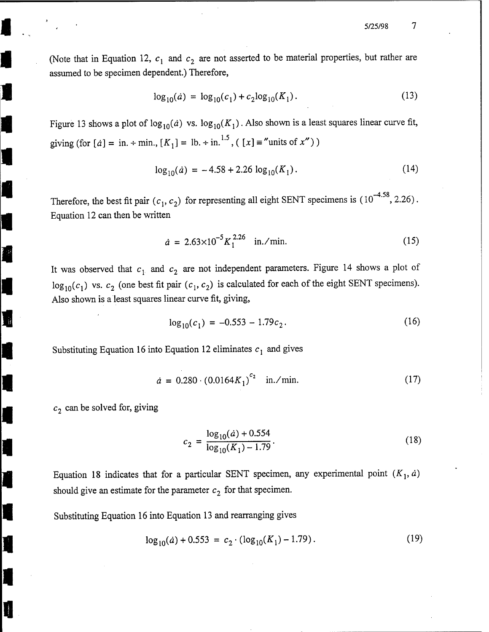$\tau$ 5/25/98

(Note that in Equation 12,  $c_1$  and  $c_2$  are not asserted to be material properties, but rather are assumed to be specimen dependent.) Therefore,

$$
\log_{10}(a) = \log_{10}(c_1) + c_2 \log_{10}(K_1). \tag{13}
$$

Figure 13 shows a plot of  $\log_{10}(a)$  vs.  $\log_{10}(K_1)$ . Also shown is a least squares linear curve fit, giving (for  $[a] = \text{in.} + \text{min.}$ ,  $[K_1] = \text{lb.} + \text{in.}^{1.5}$ ,  $([x] = \text{"units of } x")$ )

$$
\log_{10}(\dot{a}) = -4.58 + 2.26 \log_{10}(K_1). \tag{14}
$$

Therefore, the best fit pair  $(c_1, c_2)$  for representing all eight SENT specimens is  $(10^{-4.58}, 2.26)$ . Equation 12 can then be written

$$
\dot{a} = 2.63 \times 10^{-5} K_1^{2.26} \quad \text{in./min.} \tag{15}
$$

It was observed that  $c_1$  and  $c_2$  are not independent parameters. Figure 14 shows a plot of  $\log_{10}(c_1)$  vs.  $c_2$  (one best fit pair  $(c_1, c_2)$  is calculated for each of the eight SENT specimens). Also shown is a least squares linear curve fit, giving,

$$
\log_{10}(c_1) = -0.553 - 1.79c_2. \tag{16}
$$

Substituting Equation 16 into Equation 12 eliminates  $c<sub>1</sub>$  and gives

$$
\dot{a} = 0.280 \cdot (0.0164 K_1)^{c_2} \quad \text{in./min.} \tag{17}
$$

*c2* can be solved for, giving

 $\ddot{H}$ 

$$
c_2 = \frac{\log_{10}(a) + 0.554}{\log_{10}(K_1) - 1.79}.
$$
\n(18)

Equation 18 indicates that for a particular SENT specimen, any experimental point  $(K_1, a)$ should give an estimate for the parameter  $c_2$  for that specimen.

Substituting Equation 16 into Equation 13 and rearranging gives

$$
\log_{10}(a) + 0.553 = c_2 \cdot (\log_{10}(K_1) - 1.79). \tag{19}
$$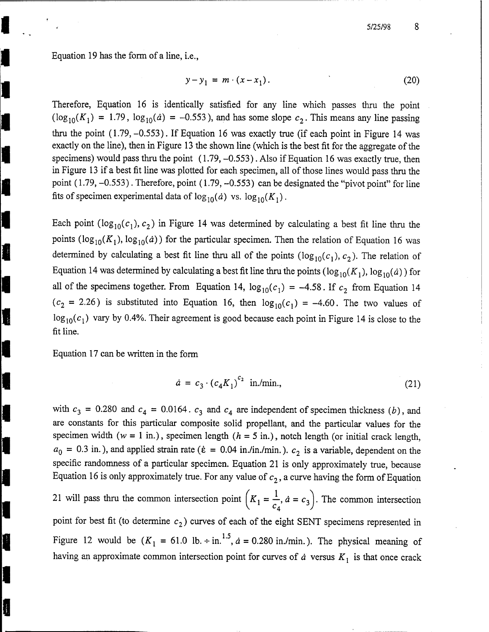Equation 19 has the form of a line, i.e.,

$$
y - y_1 = m \cdot (x - x_1). \tag{20}
$$

Therefore, Equation 16 is identically satisfied for any line which passes thru the point  $(\log_{10}(K_1) = 1.79, \log_{10}(a) = -0.553)$ , and has some slope  $c_2$ . This means any line passing thru the point  $(1.79, -0.553)$ . If Equation 16 was exactly true (if each point in Figure 14 was exactly on the line), then in Figure 13 the shown line (which is the best fit for the aggregate of the specimens) would pass thru the point  $(1.79, -0.553)$ . Also if Equation 16 was exactly true, then in Figure 13 if a best fit line was plotted for each specimen, all of those lines would pass thru the point (1.79, -0.553). Therefore, point (1.79, -0.553) can be designated the "pivot point" for line fits of specimen experimental data of  $\log_{10}(\dot{a})$  vs.  $\log_{10}(K_1)$ .

Each point  $(\log_{10}(c_1), c_2)$  in Figure 14 was determined by calculating a best fit line thru the points ( $\log_{10}(K_1)$ ,  $\log_{10}(d)$ ) for the particular specimen. Then the relation of Equation 16 was determined by calculating a best fit line thru all of the points  $(\log_{10}(c_1), c_2)$ . The relation of Equation 14 was determined by calculating a best fit line thru the points  $(\log_{10}(K_1), \log_{10}(a))$  for all of the specimens together. From Equation 14,  $log_{10}(c_1) = -4.58$ . If  $c_2$  from Equation 14  $(c_2 = 2.26)$  is substituted into Equation 16, then  $log_{10}(c_1) = -4.60$ . The two values of  $\log_{10}(c_1)$  vary by 0.4%. Their agreement is good because each point in Figure 14 is close to the fit line.

Equation 17 can be written in the form

I

$$
\dot{a} = c_3 \cdot (c_4 K_1)^{c_2} \text{ in./min.}, \qquad (21)
$$

with  $c_3 = 0.280$  and  $c_4 = 0.0164$ .  $c_3$  and  $c_4$  are independent of specimen thickness (b), and are constants for this particular composite solid propellant, and the particular values for the specimen width  $(w = 1 \text{ in.})$ , specimen length  $(h = 5 \text{ in.})$ , notch length (or initial crack length,  $a_0 = 0.3$  in.), and applied strain rate ( $\dot{\epsilon} = 0.04$  in./in./min.).  $c_2$  is a variable, dependent on the specific randomness of a particular specimen. Equation 21 is only approximately true, because Equation 16 is only approximately true. For any value of  $c_2$ , a curve having the form of Equation 21 will pass thru the common intersection point  $\left(K_1 = \frac{1}{c_4}, a = c_3\right)$ . The common intersection point for best fit (to determine  $c_2$ ) curves of each of the eight SENT specimens represented in Figure 12 would be  $(K_1 = 61.0 \text{ lb.} \div \text{ in.}^{1.5}, \dot{a} = 0.280 \text{ in.} / \text{min.}).$  The physical meaning of

having an approximate common intersection point for curves of  $\dot{a}$  versus  $K_1$  is that once crack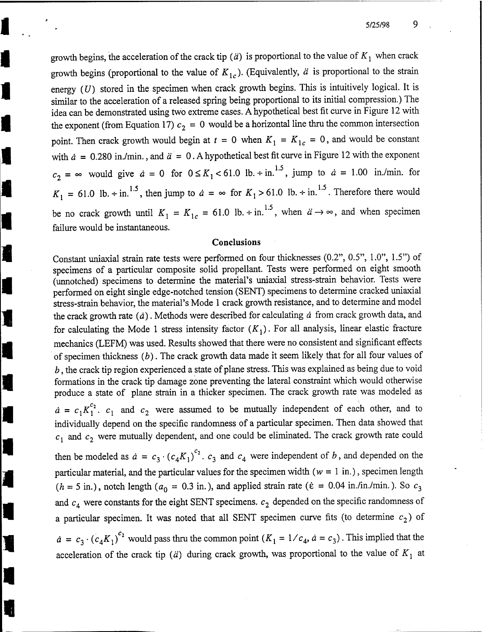growth begins, the acceleration of the crack tip ( $\ddot{a}$ ) is proportional to the value of  $K_1$  when crack growth begins (proportional to the value of  $K_{1c}$ ). (Equivalently,  $\ddot{a}$  is proportional to the strain energy (U) stored in the specimen when crack growth begins. This is intuitively logical. It is similar to the acceleration of a released spring being proportional to its initial compression.) The idea can be demonstrated using two extreme cases. A hypothetical best fit curve in Figure 12 with the exponent (from Equation 17)  $c_2 = 0$  would be a horizontal line thru the common intersection point. Then crack growth would begin at  $t = 0$  when  $K_1 = K_1$ <sub>c</sub> = 0, and would be constant with  $\dot{a} = 0.280$  in./min., and  $\ddot{a} = 0$ . A hypothetical best fit curve in Figure 12 with the exponent  $c_2 = \infty$  would give  $\dot{a} = 0$  for  $0 \le K_1 < 61.0$  lb.  $\div$  in.<sup>1.5</sup>, jump to  $\dot{a} = 1.00$  in./min. for  $K_1 = 61.0$  lb.  $\div$  in.<sup>1.5</sup>, then jump to  $\dot{a} = \infty$  for  $K_1 > 61.0$  lb.  $\div$  in.<sup>1.5</sup>. Therefore there would be no crack growth until  $K_1 = K_{1c} = 61.0$  lb.  $\div$  in.<sup>1.5</sup>, when  $\ddot{a} \rightarrow \infty$ , and when specimen failure would be instantaneous.

#### **Conclusions**

Constant uniaxial strain rate tests were performed on four thicknesses (0.2", 0.5", 1.0", 1.5") of specimens of a particular composite solid propellant. Tests were performed on eight smooth (unnotched) specimens to determine the material's uniaxial stress-strain behavior. Tests were performed on eight single edge-notched tension (SENT) specimens to determine cracked uniaxial stress-strain behavior, the material's Mode <sup>1</sup> crack growth resistance, and to determine and model the crack growth rate *(ä)*. Methods were described for calculating *<sup>ä</sup>* from crack growth data, and for calculating the Mode 1 stress intensity factor  $(K<sub>1</sub>)$ . For all analysis, linear elastic fracture mechanics (LEFM) was used. Results showed that there were no consistent and significant effects of specimen thickness *(b)*. The crack growth data made it seem likely that for all four values of *<sup>b</sup>*, the crack tip region experienced <sup>a</sup> state of plane stress. This was explained as being due to void formations in the crack tip damage zone preventing the lateral constraint which would otherwise produce a state of plane strain in a thicker specimen. The crack growth rate was modeled as  $\dot{a} = c_1 K_1^{c_2}$ .  $c_1$  and  $c_2$  were assumed to be mutually independent of each other, and to individually depend on the specific randomness of a particular specimen. Then data showed that  $c_1$  and  $c_2$  were mutually dependent, and one could be eliminated. The crack growth rate could then be modeled as  $\dot{a} = c_3 \cdot (c_4 K_1)^{c_2}$ .  $c_3$  and  $c_4$  were independent of *b*, and depended on the particular material, and the particular values for the specimen width ( $w = 1$  in.), specimen length  $(h = 5$  in.), notch length  $(a_0 = 0.3$  in.), and applied strain rate ( $\dot{\epsilon} = 0.04$  in./in./min.). So  $c_3$ and  $c_4$  were constants for the eight SENT specimens.  $c_2$  depended on the specific randomness of a particular specimen. It was noted that all SENT specimen curve fits (to determine  $c_2$ ) of

 $\dot{a} = c_3 \cdot (c_4 K_1)^{c_2}$  would pass thru the common point  $(K_1 = 1/c_4, \dot{a} = c_3)$ . This implied that the acceleration of the crack tip ( $\ddot{a}$ ) during crack growth, was proportional to the value of  $K_1$  at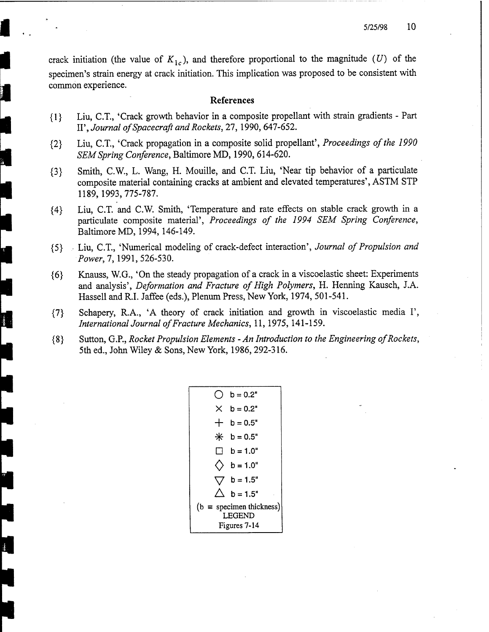crack initiation (the value of  $K_{1c}$ ), and therefore proportional to the magnitude (U) of the specimen's strain energy at crack initiation. This implication was proposed to be consistent with common experience.

#### References

- {1} Liu, CT., 'Crack growth behavior in a composite propellant with strain gradients Part II', *Journal ofSpacecraft and Rockets,* 27,1990, 647-652.
- {2} Liu, CT., 'Crack propagation in a composite solid propellant', *Proceedings ofthe 1990 SEMSpring Conference,* Baltimore MD, 1990, 614-620.
- {3} Smith, C.W., L. Wang, H. Mouille, and C.T. Liu, 'Near tip behavior of a particulate composite material containing cracks at ambient and elevated temperatures', ASTM STP 1189,1993,775-787.
- {4} Liu, C.T. and C.W. Smith, 'Temperature and rate effects on stable crack growth in a particulate composite material', *Proceedings of the 1994 SEM Spring Conference,* Baltimore MD, 1994, 146-149.
- {5} , Liu, C.T, 'Numerical modeling of crack-defect interaction', *Journal ofPropulsion and Power,!,* 1991, 526-530.
- {6} Knauss, W.G., 'On the steady propagation of a crack in a viscoelastic sheet: Experiments and analysis', *Deformation and Fracture of High Polymers,* H. Henning Kausch, J.A. Hassell and R.I. Jaffee (eds.), Plenum Press, New York, 1974, 501-541.
- {7} Schapery, R.A., 'A theory of crack initiation and growth in viscoelastic media I', *International Journal of Fracture Mechanics, 11, 1975, 141-159.*
- {8} Sutton, G.P., *Rocket Propulsion Elements - An Introduction to the Engineering ofRockets,* 5th ed., John Wiley & Sons, New York, 1986,292-316.

|                                                                         | $b = 0.2"$      |  |
|-------------------------------------------------------------------------|-----------------|--|
| ×                                                                       | $h = 0.2"$      |  |
|                                                                         | $b = 0.5"$      |  |
| $\ast$                                                                  | $b = 0.5"$      |  |
|                                                                         | $\Box$ b = 1.0" |  |
|                                                                         | $b = 1.0"$      |  |
|                                                                         | $b = 1.5"$      |  |
|                                                                         | $h = 1.5"$      |  |
| $(b \equiv \text{specimen thickness})$<br><b>LEGEND</b><br>Figures 7-14 |                 |  |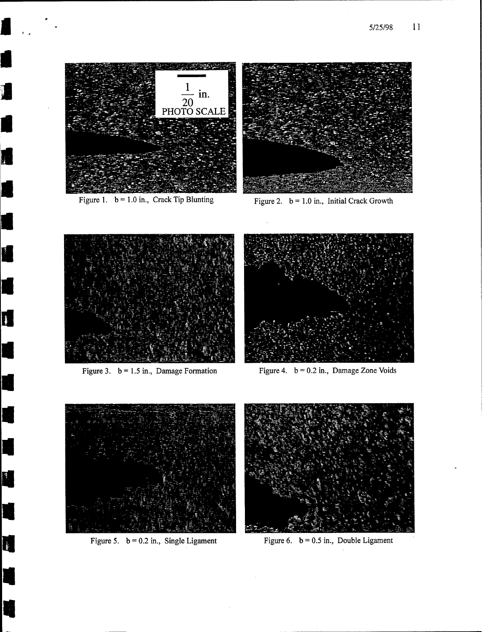

**I**

**I**

**1**

**I**

**1**

**I**

**I**

**I**

**1**

**Fl**

**I**

**I**

**I**

**1**

**I**

**1**

**£**

Figure 1.  $b = 1.0$  in., Crack Tip Blunting Figure 2.  $b = 1.0$  in., Initial Crack Growth







Figure 3.  $b = 1.5$  in., Damage Formation Figure 4.  $b = 0.2$  in., Damage Zone Voids





Figure 5.  $b = 0.2$  in., Single Ligament Figure 6.  $b = 0.5$  in., Double Ligament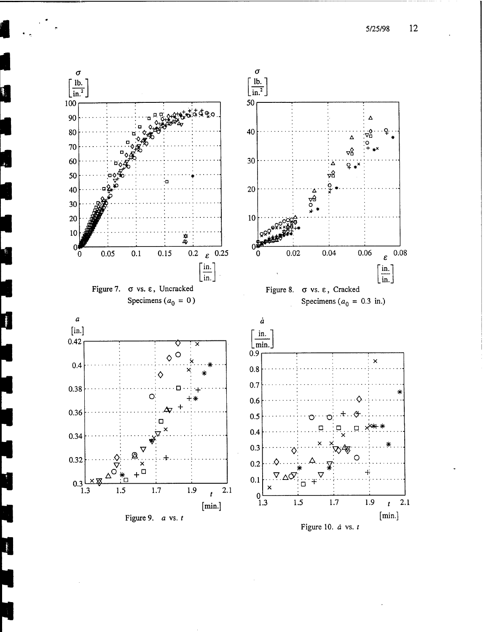5/25/98 12